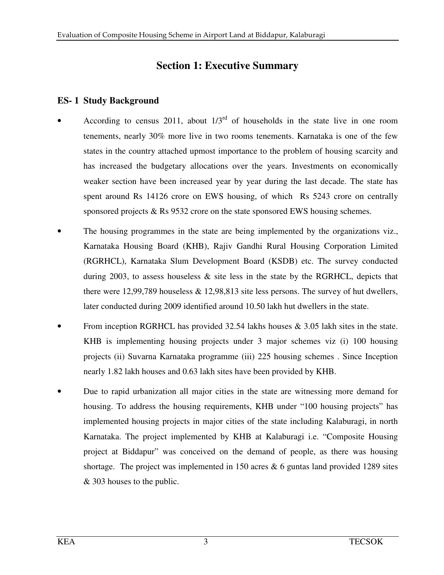## **Section 1: Executive Summary**

## **ES- 1 Study Background**

- According to census 2011, about  $1/3^{rd}$  of households in the state live in one room tenements, nearly 30% more live in two rooms tenements. Karnataka is one of the few states in the country attached upmost importance to the problem of housing scarcity and has increased the budgetary allocations over the years. Investments on economically weaker section have been increased year by year during the last decade. The state has spent around Rs 14126 crore on EWS housing, of which Rs 5243 crore on centrally sponsored projects & Rs 9532 crore on the state sponsored EWS housing schemes.
- The housing programmes in the state are being implemented by the organizations viz., Karnataka Housing Board (KHB), Rajiv Gandhi Rural Housing Corporation Limited (RGRHCL), Karnataka Slum Development Board (KSDB) etc. The survey conducted during 2003, to assess houseless  $\&$  site less in the state by the RGRHCL, depicts that there were 12,99,789 houseless & 12,98,813 site less persons. The survey of hut dwellers, later conducted during 2009 identified around 10.50 lakh hut dwellers in the state.
- From inception RGRHCL has provided 32.54 lakhs houses  $\&$  3.05 lakh sites in the state. KHB is implementing housing projects under 3 major schemes viz (i) 100 housing projects (ii) Suvarna Karnataka programme (iii) 225 housing schemes . Since Inception nearly 1.82 lakh houses and 0.63 lakh sites have been provided by KHB.
- Due to rapid urbanization all major cities in the state are witnessing more demand for housing. To address the housing requirements, KHB under "100 housing projects" has implemented housing projects in major cities of the state including Kalaburagi, in north Karnataka. The project implemented by KHB at Kalaburagi i.e. "Composite Housing project at Biddapur" was conceived on the demand of people, as there was housing shortage. The project was implemented in 150 acres  $\&$  6 guntas land provided 1289 sites & 303 houses to the public.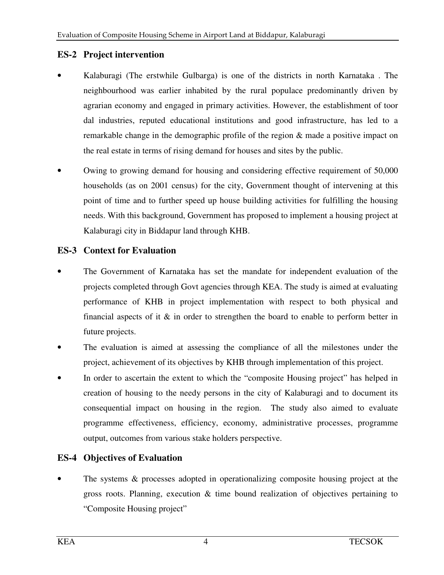### **ES-2 Project intervention**

- Kalaburagi (The erstwhile Gulbarga) is one of the districts in north Karnataka . The neighbourhood was earlier inhabited by the rural populace predominantly driven by agrarian economy and engaged in primary activities. However, the establishment of toor dal industries, reputed educational institutions and good infrastructure, has led to a remarkable change in the demographic profile of the region & made a positive impact on the real estate in terms of rising demand for houses and sites by the public.
- Owing to growing demand for housing and considering effective requirement of 50,000 households (as on 2001 census) for the city, Government thought of intervening at this point of time and to further speed up house building activities for fulfilling the housing needs. With this background, Government has proposed to implement a housing project at Kalaburagi city in Biddapur land through KHB.

## **ES-3 Context for Evaluation**

- The Government of Karnataka has set the mandate for independent evaluation of the projects completed through Govt agencies through KEA. The study is aimed at evaluating performance of KHB in project implementation with respect to both physical and financial aspects of it  $\&$  in order to strengthen the board to enable to perform better in future projects.
- The evaluation is aimed at assessing the compliance of all the milestones under the project, achievement of its objectives by KHB through implementation of this project.
- In order to ascertain the extent to which the "composite Housing project" has helped in creation of housing to the needy persons in the city of Kalaburagi and to document its consequential impact on housing in the region. The study also aimed to evaluate programme effectiveness, efficiency, economy, administrative processes, programme output, outcomes from various stake holders perspective.

## **ES-4 Objectives of Evaluation**

The systems  $\&$  processes adopted in operationalizing composite housing project at the gross roots. Planning, execution  $\&$  time bound realization of objectives pertaining to "Composite Housing project"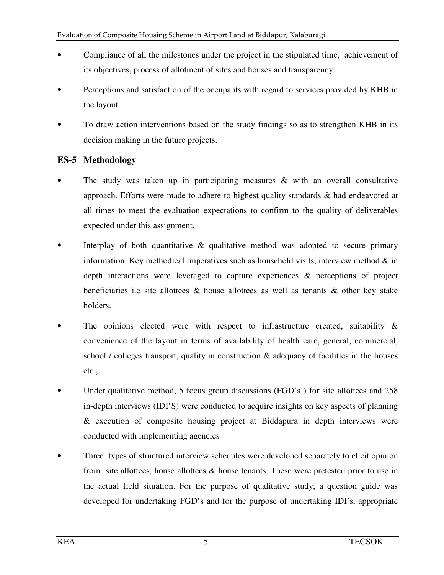- Compliance of all the milestones under the project in the stipulated time, achievement of its objectives, process of allotment of sites and houses and transparency.
- Perceptions and satisfaction of the occupants with regard to services provided by KHB in the layout.
- To draw action interventions based on the study findings so as to strengthen KHB in its decision making in the future projects.

## **ES-5 Methodology**

- The study was taken up in participating measures  $\&$  with an overall consultative approach. Efforts were made to adhere to highest quality standards & had endeavored at all times to meet the evaluation expectations to confirm to the quality of deliverables expected under this assignment.
- Interplay of both quantitative  $\&$  qualitative method was adopted to secure primary information. Key methodical imperatives such as household visits, interview method  $\&$  in depth interactions were leveraged to capture experiences & perceptions of project beneficiaries i.e site allottees  $\&$  house allottees as well as tenants  $\&$  other key stake holders.
- The opinions elected were with respect to infrastructure created, suitability  $\&$ convenience of the layout in terms of availability of health care, general, commercial, school / colleges transport, quality in construction & adequacy of facilities in the houses etc.,
- Under qualitative method, 5 focus group discussions (FGD's) for site allottees and 258 in-depth interviews (IDI'S) were conducted to acquire insights on key aspects of planning & execution of composite housing project at Biddapura in depth interviews were conducted with implementing agencies
- Three types of structured interview schedules were developed separately to elicit opinion from site allottees, house allottees & house tenants. These were pretested prior to use in the actual field situation. For the purpose of qualitative study, a question guide was developed for undertaking FGD's and for the purpose of undertaking IDI's, appropriate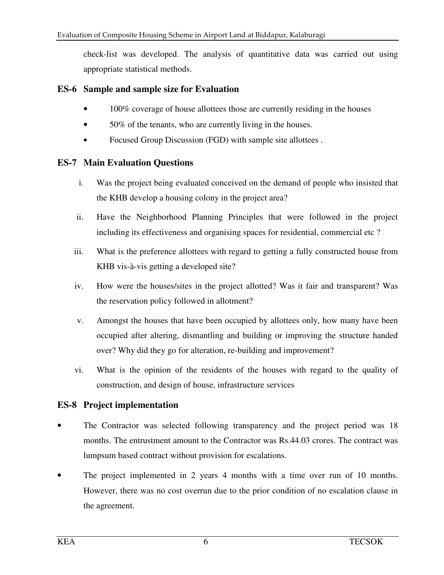check-list was developed. The analysis of quantitative data was carried out using appropriate statistical methods.

### **ES-6 Sample and sample size for Evaluation**

- 100% coverage of house allottees those are currently residing in the houses
- 50% of the tenants, who are currently living in the houses.
- Focused Group Discussion (FGD) with sample site allottees.

### **ES-7 Main Evaluation Questions**

- i. Was the project being evaluated conceived on the demand of people who insisted that the KHB develop a housing colony in the project area?
- ii. Have the Neighborhood Planning Principles that were followed in the project including its effectiveness and organising spaces for residential, commercial etc ?
- iii. What is the preference allottees with regard to getting a fully constructed house from KHB vis-à-vis getting a developed site?
- iv. How were the houses/sites in the project allotted? Was it fair and transparent? Was the reservation policy followed in allotment?
- v. Amongst the houses that have been occupied by allottees only, how many have been occupied after altering, dismantling and building or improving the structure handed over? Why did they go for alteration, re-building and improvement?
- vi. What is the opinion of the residents of the houses with regard to the quality of construction, and design of house, infrastructure services

## **ES-8 Project implementation**

- The Contractor was selected following transparency and the project period was 18 months. The entrustment amount to the Contractor was Rs.44.03 crores. The contract was lumpsum based contract without provision for escalations.
- The project implemented in 2 years 4 months with a time over run of 10 months. However, there was no cost overrun due to the prior condition of no escalation clause in the agreement.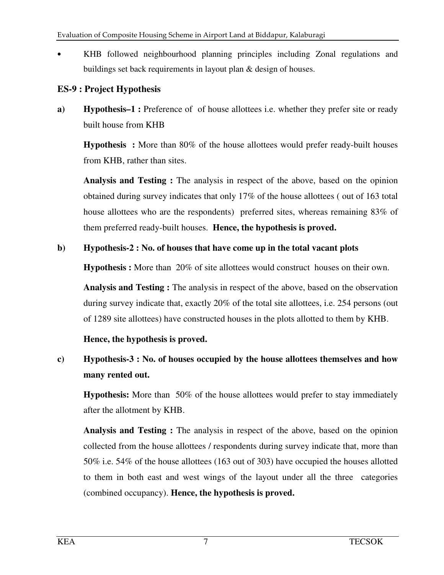• KHB followed neighbourhood planning principles including Zonal regulations and buildings set back requirements in layout plan & design of houses.

## **ES-9 : Project Hypothesis**

**a) Hypothesis–1 :** Preference of of house allottees i.e. whether they prefer site or ready built house from KHB

**Hypothesis :** More than 80% of the house allottees would prefer ready-built houses from KHB, rather than sites.

 **Analysis and Testing :** The analysis in respect of the above, based on the opinion obtained during survey indicates that only 17% of the house allottees ( out of 163 total house allottees who are the respondents) preferred sites, whereas remaining 83% of them preferred ready-built houses. **Hence, the hypothesis is proved.** 

## **b) Hypothesis-2 : No. of houses that have come up in the total vacant plots**

**Hypothesis :** More than 20% of site allottees would construct houses on their own.

 **Analysis and Testing :** The analysis in respect of the above, based on the observation during survey indicate that, exactly 20% of the total site allottees, i.e. 254 persons (out of 1289 site allottees) have constructed houses in the plots allotted to them by KHB.

**Hence, the hypothesis is proved.** 

# **c) Hypothesis-3 : No. of houses occupied by the house allottees themselves and how many rented out.**

**Hypothesis:** More than 50% of the house allottees would prefer to stay immediately after the allotment by KHB.

 **Analysis and Testing :** The analysis in respect of the above, based on the opinion collected from the house allottees / respondents during survey indicate that, more than 50% i.e. 54% of the house allottees (163 out of 303) have occupied the houses allotted to them in both east and west wings of the layout under all the three categories (combined occupancy). **Hence, the hypothesis is proved.**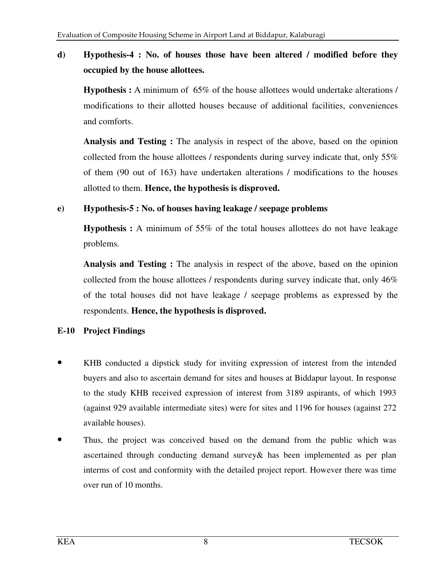## **d) Hypothesis-4 : No. of houses those have been altered / modified before they occupied by the house allottees.**

**Hypothesis :** A minimum of 65% of the house allottees would undertake alterations / modifications to their allotted houses because of additional facilities, conveniences and comforts.

 **Analysis and Testing :** The analysis in respect of the above, based on the opinion collected from the house allottees / respondents during survey indicate that, only 55% of them (90 out of 163) have undertaken alterations / modifications to the houses allotted to them. **Hence, the hypothesis is disproved.** 

### **e) Hypothesis-5 : No. of houses having leakage / seepage problems**

**Hypothesis :** A minimum of 55% of the total houses allottees do not have leakage problems.

 **Analysis and Testing :** The analysis in respect of the above, based on the opinion collected from the house allottees / respondents during survey indicate that, only  $46\%$ of the total houses did not have leakage / seepage problems as expressed by the respondents. **Hence, the hypothesis is disproved.** 

#### **E-10 Project Findings**

- KHB conducted a dipstick study for inviting expression of interest from the intended buyers and also to ascertain demand for sites and houses at Biddapur layout. In response to the study KHB received expression of interest from 3189 aspirants, of which 1993 (against 929 available intermediate sites) were for sites and 1196 for houses (against 272 available houses).
- Thus, the project was conceived based on the demand from the public which was ascertained through conducting demand survey& has been implemented as per plan interms of cost and conformity with the detailed project report. However there was time over run of 10 months.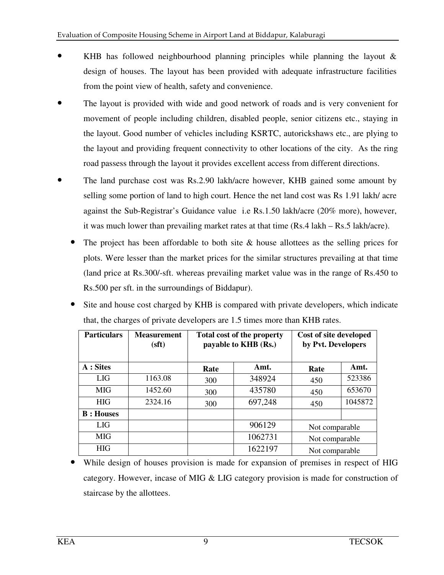- KHB has followed neighbourhood planning principles while planning the layout  $\&$ design of houses. The layout has been provided with adequate infrastructure facilities from the point view of health, safety and convenience.
- The layout is provided with wide and good network of roads and is very convenient for movement of people including children, disabled people, senior citizens etc., staying in the layout. Good number of vehicles including KSRTC, autorickshaws etc., are plying to the layout and providing frequent connectivity to other locations of the city. As the ring road passess through the layout it provides excellent access from different directions.
- The land purchase cost was Rs.2.90 lakh/acre however, KHB gained some amount by selling some portion of land to high court. Hence the net land cost was Rs 1.91 lakh/ acre against the Sub-Registrar's Guidance value i.e Rs.1.50 lakh/acre (20% more), however, it was much lower than prevailing market rates at that time (Rs.4 lakh – Rs.5 lakh/acre).
	- The project has been affordable to both site  $\&$  house allottees as the selling prices for plots. Were lesser than the market prices for the similar structures prevailing at that time (land price at Rs.300/-sft. whereas prevailing market value was in the range of Rs.450 to Rs.500 per sft. in the surroundings of Biddapur).
	- Site and house cost charged by KHB is compared with private developers, which indicate that, the charges of private developers are 1.5 times more than KHB rates.

| <b>Particulars</b> | <b>Measurement</b><br>(sft) | <b>Total cost of the property</b><br>payable to KHB (Rs.) |         | Cost of site developed<br>by Pvt. Developers |         |
|--------------------|-----------------------------|-----------------------------------------------------------|---------|----------------------------------------------|---------|
| $A:$ Sites         |                             | Rate                                                      | Amt.    | Rate                                         | Amt.    |
| <b>LIG</b>         | 1163.08                     | 300                                                       | 348924  | 450                                          | 523386  |
| <b>MIG</b>         | 1452.60                     | 300                                                       | 435780  | 450                                          | 653670  |
| <b>HIG</b>         | 2324.16                     | 300                                                       | 697,248 | 450                                          | 1045872 |
| <b>B</b> : Houses  |                             |                                                           |         |                                              |         |
| <b>LIG</b>         |                             |                                                           | 906129  | Not comparable                               |         |
| <b>MIG</b>         |                             |                                                           | 1062731 | Not comparable                               |         |
| <b>HIG</b>         |                             |                                                           | 1622197 | Not comparable                               |         |

While design of houses provision is made for expansion of premises in respect of HIG category. However, incase of MIG & LIG category provision is made for construction of staircase by the allottees.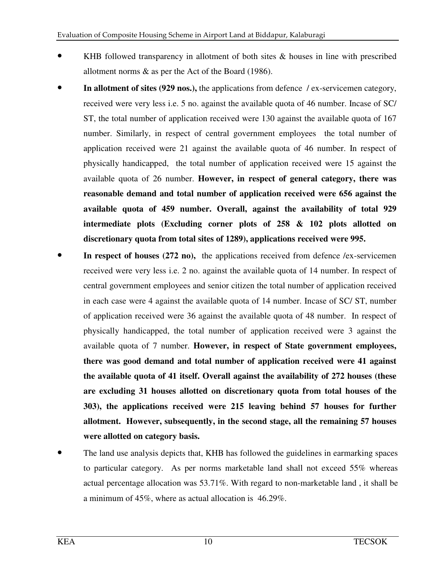- KHB followed transparency in allotment of both sites  $\&$  houses in line with prescribed allotment norms & as per the Act of the Board (1986).
- **In allotment of sites (929 nos.),** the applications from defence / ex-servicemen category, received were very less i.e. 5 no. against the available quota of 46 number. Incase of SC/ ST, the total number of application received were 130 against the available quota of 167 number. Similarly, in respect of central government employees the total number of application received were 21 against the available quota of 46 number. In respect of physically handicapped, the total number of application received were 15 against the available quota of 26 number. **However, in respect of general category, there was reasonable demand and total number of application received were 656 against the available quota of 459 number. Overall, against the availability of total 929 intermediate plots (Excluding corner plots of 258 & 102 plots allotted on discretionary quota from total sites of 1289), applications received were 995.**
- In respect of houses (272 no), the applications received from defence /ex-servicemen received were very less i.e. 2 no. against the available quota of 14 number. In respect of central government employees and senior citizen the total number of application received in each case were 4 against the available quota of 14 number. Incase of SC/ ST, number of application received were 36 against the available quota of 48 number. In respect of physically handicapped, the total number of application received were 3 against the available quota of 7 number. **However, in respect of State government employees, there was good demand and total number of application received were 41 against the available quota of 41 itself. Overall against the availability of 272 houses (these are excluding 31 houses allotted on discretionary quota from total houses of the 303), the applications received were 215 leaving behind 57 houses for further allotment. However, subsequently, in the second stage, all the remaining 57 houses were allotted on category basis.**
- The land use analysis depicts that, KHB has followed the guidelines in earmarking spaces to particular category. As per norms marketable land shall not exceed 55% whereas actual percentage allocation was 53.71%. With regard to non-marketable land , it shall be a minimum of 45%, where as actual allocation is 46.29%.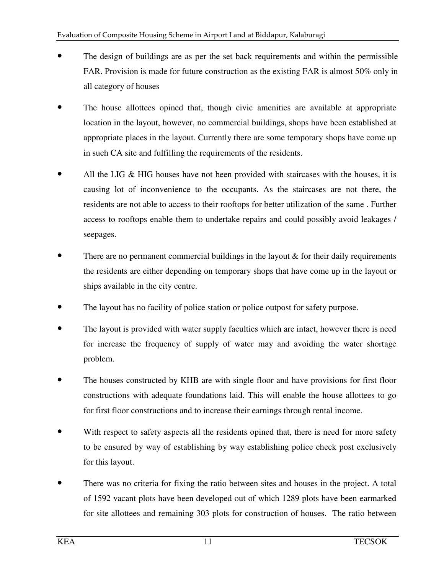- The design of buildings are as per the set back requirements and within the permissible FAR. Provision is made for future construction as the existing FAR is almost 50% only in all category of houses
- The house allottees opined that, though civic amenities are available at appropriate location in the layout, however, no commercial buildings, shops have been established at appropriate places in the layout. Currently there are some temporary shops have come up in such CA site and fulfilling the requirements of the residents.
- All the LIG  $\&$  HIG houses have not been provided with staircases with the houses, it is causing lot of inconvenience to the occupants. As the staircases are not there, the residents are not able to access to their rooftops for better utilization of the same . Further access to rooftops enable them to undertake repairs and could possibly avoid leakages / seepages.
- There are no permanent commercial buildings in the layout  $\&$  for their daily requirements the residents are either depending on temporary shops that have come up in the layout or ships available in the city centre.
- The layout has no facility of police station or police outpost for safety purpose.
- The layout is provided with water supply faculties which are intact, however there is need for increase the frequency of supply of water may and avoiding the water shortage problem.
- The houses constructed by KHB are with single floor and have provisions for first floor constructions with adequate foundations laid. This will enable the house allottees to go for first floor constructions and to increase their earnings through rental income.
- With respect to safety aspects all the residents opined that, there is need for more safety to be ensured by way of establishing by way establishing police check post exclusively for this layout.
- There was no criteria for fixing the ratio between sites and houses in the project. A total of 1592 vacant plots have been developed out of which 1289 plots have been earmarked for site allottees and remaining 303 plots for construction of houses. The ratio between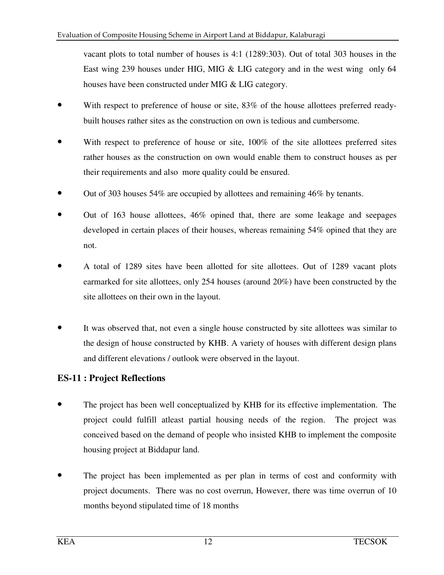vacant plots to total number of houses is 4:1 (1289:303). Out of total 303 houses in the East wing 239 houses under HIG, MIG & LIG category and in the west wing only 64 houses have been constructed under MIG & LIG category.

- With respect to preference of house or site,  $83\%$  of the house allottees preferred readybuilt houses rather sites as the construction on own is tedious and cumbersome.
- With respect to preference of house or site, 100% of the site allottees preferred sites rather houses as the construction on own would enable them to construct houses as per their requirements and also more quality could be ensured.
- Out of 303 houses 54% are occupied by allottees and remaining 46% by tenants.
- Out of 163 house allottees, 46% opined that, there are some leakage and seepages developed in certain places of their houses, whereas remaining 54% opined that they are not.
- A total of 1289 sites have been allotted for site allottees. Out of 1289 vacant plots earmarked for site allottees, only 254 houses (around 20%) have been constructed by the site allottees on their own in the layout.
- It was observed that, not even a single house constructed by site allottees was similar to the design of house constructed by KHB. A variety of houses with different design plans and different elevations / outlook were observed in the layout.

## **ES-11 : Project Reflections**

- The project has been well conceptualized by KHB for its effective implementation. The project could fulfill atleast partial housing needs of the region. The project was conceived based on the demand of people who insisted KHB to implement the composite housing project at Biddapur land.
- The project has been implemented as per plan in terms of cost and conformity with project documents. There was no cost overrun, However, there was time overrun of 10 months beyond stipulated time of 18 months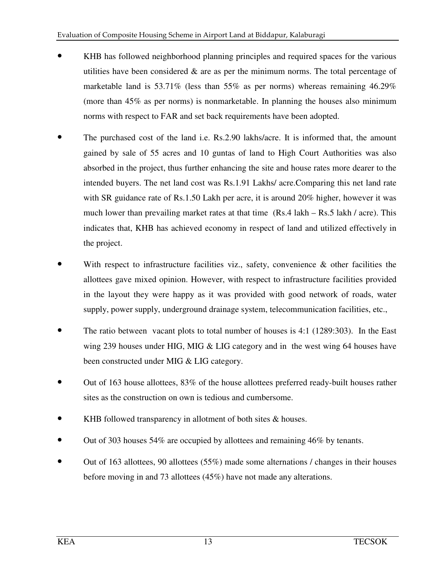- KHB has followed neighborhood planning principles and required spaces for the various utilities have been considered  $\&$  are as per the minimum norms. The total percentage of marketable land is 53.71% (less than 55% as per norms) whereas remaining 46.29% (more than 45% as per norms) is nonmarketable. In planning the houses also minimum norms with respect to FAR and set back requirements have been adopted.
- The purchased cost of the land i.e. Rs.2.90 lakhs/acre. It is informed that, the amount gained by sale of 55 acres and 10 guntas of land to High Court Authorities was also absorbed in the project, thus further enhancing the site and house rates more dearer to the intended buyers. The net land cost was Rs.1.91 Lakhs/ acre.Comparing this net land rate with SR guidance rate of Rs.1.50 Lakh per acre, it is around 20% higher, however it was much lower than prevailing market rates at that time (Rs.4 lakh – Rs.5 lakh / acre). This indicates that, KHB has achieved economy in respect of land and utilized effectively in the project.
- With respect to infrastructure facilities viz., safety, convenience  $\&$  other facilities the allottees gave mixed opinion. However, with respect to infrastructure facilities provided in the layout they were happy as it was provided with good network of roads, water supply, power supply, underground drainage system, telecommunication facilities, etc.,
- The ratio between vacant plots to total number of houses is 4:1 (1289:303). In the East wing 239 houses under HIG, MIG & LIG category and in the west wing 64 houses have been constructed under MIG & LIG category.
- Out of 163 house allottees, 83% of the house allottees preferred ready-built houses rather sites as the construction on own is tedious and cumbersome.
- KHB followed transparency in allotment of both sites & houses.
- Out of 303 houses 54% are occupied by allottees and remaining 46% by tenants.
- Out of 163 allottees, 90 allottees (55%) made some alternations / changes in their houses before moving in and 73 allottees (45%) have not made any alterations.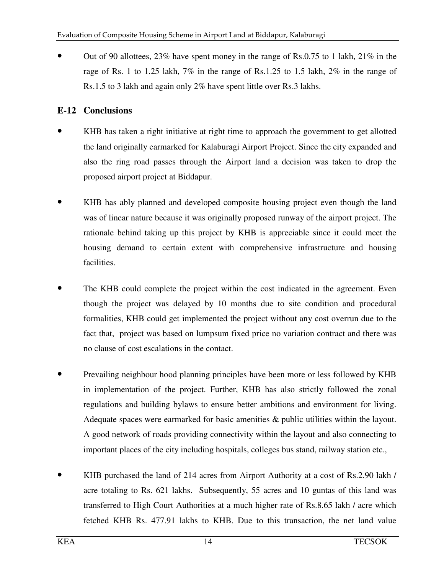• Out of 90 allottees, 23% have spent money in the range of Rs.0.75 to 1 lakh, 21% in the rage of Rs. 1 to 1.25 lakh, 7% in the range of Rs.1.25 to 1.5 lakh, 2% in the range of Rs.1.5 to 3 lakh and again only 2% have spent little over Rs.3 lakhs.

## **E-12 Conclusions**

- KHB has taken a right initiative at right time to approach the government to get allotted the land originally earmarked for Kalaburagi Airport Project. Since the city expanded and also the ring road passes through the Airport land a decision was taken to drop the proposed airport project at Biddapur.
- KHB has ably planned and developed composite housing project even though the land was of linear nature because it was originally proposed runway of the airport project. The rationale behind taking up this project by KHB is appreciable since it could meet the housing demand to certain extent with comprehensive infrastructure and housing facilities.
- The KHB could complete the project within the cost indicated in the agreement. Even though the project was delayed by 10 months due to site condition and procedural formalities, KHB could get implemented the project without any cost overrun due to the fact that, project was based on lumpsum fixed price no variation contract and there was no clause of cost escalations in the contact.
- Prevailing neighbour hood planning principles have been more or less followed by KHB in implementation of the project. Further, KHB has also strictly followed the zonal regulations and building bylaws to ensure better ambitions and environment for living. Adequate spaces were earmarked for basic amenities & public utilities within the layout. A good network of roads providing connectivity within the layout and also connecting to important places of the city including hospitals, colleges bus stand, railway station etc.,
- KHB purchased the land of 214 acres from Airport Authority at a cost of Rs.2.90 lakh / acre totaling to Rs. 621 lakhs. Subsequently, 55 acres and 10 guntas of this land was transferred to High Court Authorities at a much higher rate of Rs.8.65 lakh / acre which fetched KHB Rs. 477.91 lakhs to KHB. Due to this transaction, the net land value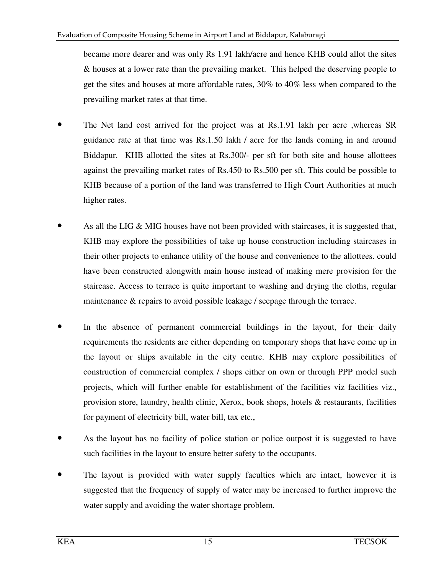became more dearer and was only Rs 1.91 lakh/acre and hence KHB could allot the sites & houses at a lower rate than the prevailing market. This helped the deserving people to get the sites and houses at more affordable rates, 30% to 40% less when compared to the prevailing market rates at that time.

- The Net land cost arrived for the project was at Rs.1.91 lakh per acre ,whereas SR guidance rate at that time was Rs.1.50 lakh / acre for the lands coming in and around Biddapur. KHB allotted the sites at Rs.300/- per sft for both site and house allottees against the prevailing market rates of Rs.450 to Rs.500 per sft. This could be possible to KHB because of a portion of the land was transferred to High Court Authorities at much higher rates.
- As all the LIG  $\&$  MIG houses have not been provided with staircases, it is suggested that, KHB may explore the possibilities of take up house construction including staircases in their other projects to enhance utility of the house and convenience to the allottees. could have been constructed alongwith main house instead of making mere provision for the staircase. Access to terrace is quite important to washing and drying the cloths, regular maintenance & repairs to avoid possible leakage / seepage through the terrace.
- In the absence of permanent commercial buildings in the layout, for their daily requirements the residents are either depending on temporary shops that have come up in the layout or ships available in the city centre. KHB may explore possibilities of construction of commercial complex / shops either on own or through PPP model such projects, which will further enable for establishment of the facilities viz facilities viz., provision store, laundry, health clinic, Xerox, book shops, hotels & restaurants, facilities for payment of electricity bill, water bill, tax etc.,
- As the layout has no facility of police station or police outpost it is suggested to have such facilities in the layout to ensure better safety to the occupants.
- The layout is provided with water supply faculties which are intact, however it is suggested that the frequency of supply of water may be increased to further improve the water supply and avoiding the water shortage problem.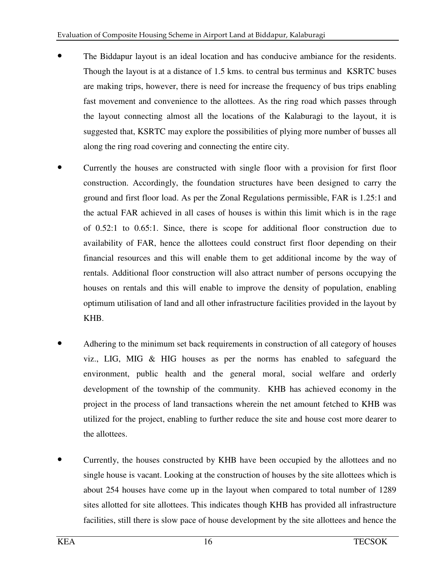- The Biddapur layout is an ideal location and has conducive ambiance for the residents. Though the layout is at a distance of 1.5 kms. to central bus terminus and KSRTC buses are making trips, however, there is need for increase the frequency of bus trips enabling fast movement and convenience to the allottees. As the ring road which passes through the layout connecting almost all the locations of the Kalaburagi to the layout, it is suggested that, KSRTC may explore the possibilities of plying more number of busses all along the ring road covering and connecting the entire city.
- Currently the houses are constructed with single floor with a provision for first floor construction. Accordingly, the foundation structures have been designed to carry the ground and first floor load. As per the Zonal Regulations permissible, FAR is 1.25:1 and the actual FAR achieved in all cases of houses is within this limit which is in the rage of 0.52:1 to 0.65:1. Since, there is scope for additional floor construction due to availability of FAR, hence the allottees could construct first floor depending on their financial resources and this will enable them to get additional income by the way of rentals. Additional floor construction will also attract number of persons occupying the houses on rentals and this will enable to improve the density of population, enabling optimum utilisation of land and all other infrastructure facilities provided in the layout by KHB.
- Adhering to the minimum set back requirements in construction of all category of houses viz., LIG, MIG & HIG houses as per the norms has enabled to safeguard the environment, public health and the general moral, social welfare and orderly development of the township of the community. KHB has achieved economy in the project in the process of land transactions wherein the net amount fetched to KHB was utilized for the project, enabling to further reduce the site and house cost more dearer to the allottees.
- Currently, the houses constructed by KHB have been occupied by the allottees and no single house is vacant. Looking at the construction of houses by the site allottees which is about 254 houses have come up in the layout when compared to total number of 1289 sites allotted for site allottees. This indicates though KHB has provided all infrastructure facilities, still there is slow pace of house development by the site allottees and hence the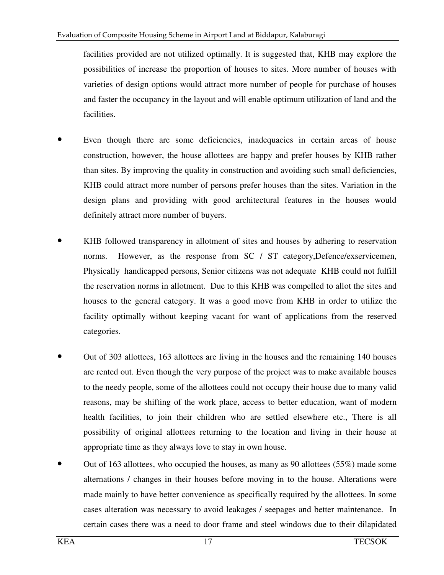facilities provided are not utilized optimally. It is suggested that, KHB may explore the possibilities of increase the proportion of houses to sites. More number of houses with varieties of design options would attract more number of people for purchase of houses and faster the occupancy in the layout and will enable optimum utilization of land and the facilities.

- Even though there are some deficiencies, inadequacies in certain areas of house construction, however, the house allottees are happy and prefer houses by KHB rather than sites. By improving the quality in construction and avoiding such small deficiencies, KHB could attract more number of persons prefer houses than the sites. Variation in the design plans and providing with good architectural features in the houses would definitely attract more number of buyers.
- KHB followed transparency in allotment of sites and houses by adhering to reservation norms. However, as the response from SC / ST category, Defence/exservicemen, Physically handicapped persons, Senior citizens was not adequate KHB could not fulfill the reservation norms in allotment. Due to this KHB was compelled to allot the sites and houses to the general category. It was a good move from KHB in order to utilize the facility optimally without keeping vacant for want of applications from the reserved categories.
- Out of 303 allottees, 163 allottees are living in the houses and the remaining 140 houses are rented out. Even though the very purpose of the project was to make available houses to the needy people, some of the allottees could not occupy their house due to many valid reasons, may be shifting of the work place, access to better education, want of modern health facilities, to join their children who are settled elsewhere etc., There is all possibility of original allottees returning to the location and living in their house at appropriate time as they always love to stay in own house.
- Out of 163 allottees, who occupied the houses, as many as 90 allottees (55%) made some alternations / changes in their houses before moving in to the house. Alterations were made mainly to have better convenience as specifically required by the allottees. In some cases alteration was necessary to avoid leakages / seepages and better maintenance. In certain cases there was a need to door frame and steel windows due to their dilapidated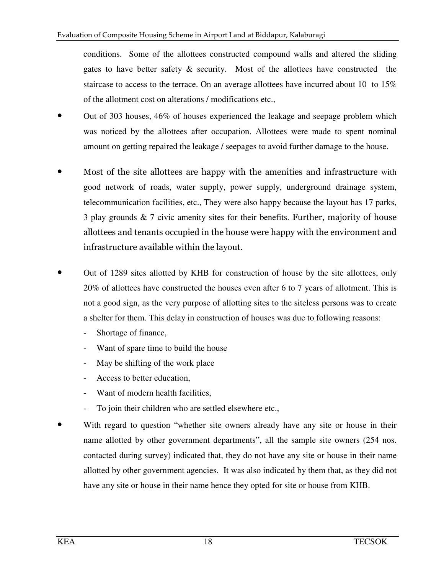conditions. Some of the allottees constructed compound walls and altered the sliding gates to have better safety & security. Most of the allottees have constructed the staircase to access to the terrace. On an average allottees have incurred about 10 to 15% of the allotment cost on alterations / modifications etc.,

- Out of 303 houses, 46% of houses experienced the leakage and seepage problem which was noticed by the allottees after occupation. Allottees were made to spent nominal amount on getting repaired the leakage / seepages to avoid further damage to the house.
- Most of the site allottees are happy with the amenities and infrastructure with good network of roads, water supply, power supply, underground drainage system, telecommunication facilities, etc., They were also happy because the layout has 17 parks, 3 play grounds & 7 civic amenity sites for their benefits. Further, majority of house allottees and tenants occupied in the house were happy with the environment and infrastructure available within the layout.
- Out of 1289 sites allotted by KHB for construction of house by the site allottees, only 20% of allottees have constructed the houses even after 6 to 7 years of allotment. This is not a good sign, as the very purpose of allotting sites to the siteless persons was to create a shelter for them. This delay in construction of houses was due to following reasons:
	- Shortage of finance,
	- Want of spare time to build the house
	- May be shifting of the work place
	- Access to better education,
	- Want of modern health facilities.
	- To join their children who are settled elsewhere etc.,
- With regard to question "whether site owners already have any site or house in their name allotted by other government departments", all the sample site owners (254 nos. contacted during survey) indicated that, they do not have any site or house in their name allotted by other government agencies. It was also indicated by them that, as they did not have any site or house in their name hence they opted for site or house from KHB.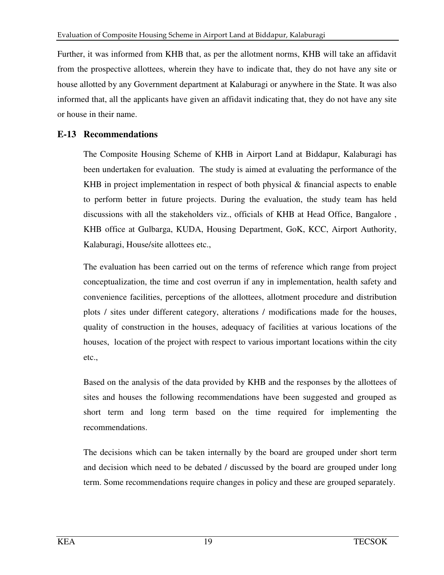Further, it was informed from KHB that, as per the allotment norms, KHB will take an affidavit from the prospective allottees, wherein they have to indicate that, they do not have any site or house allotted by any Government department at Kalaburagi or anywhere in the State. It was also informed that, all the applicants have given an affidavit indicating that, they do not have any site or house in their name.

### **E-13 Recommendations**

The Composite Housing Scheme of KHB in Airport Land at Biddapur, Kalaburagi has been undertaken for evaluation. The study is aimed at evaluating the performance of the KHB in project implementation in respect of both physical & financial aspects to enable to perform better in future projects. During the evaluation, the study team has held discussions with all the stakeholders viz., officials of KHB at Head Office, Bangalore , KHB office at Gulbarga, KUDA, Housing Department, GoK, KCC, Airport Authority, Kalaburagi, House/site allottees etc.,

The evaluation has been carried out on the terms of reference which range from project conceptualization, the time and cost overrun if any in implementation, health safety and convenience facilities, perceptions of the allottees, allotment procedure and distribution plots / sites under different category, alterations / modifications made for the houses, quality of construction in the houses, adequacy of facilities at various locations of the houses, location of the project with respect to various important locations within the city etc.,

Based on the analysis of the data provided by KHB and the responses by the allottees of sites and houses the following recommendations have been suggested and grouped as short term and long term based on the time required for implementing the recommendations.

The decisions which can be taken internally by the board are grouped under short term and decision which need to be debated / discussed by the board are grouped under long term. Some recommendations require changes in policy and these are grouped separately.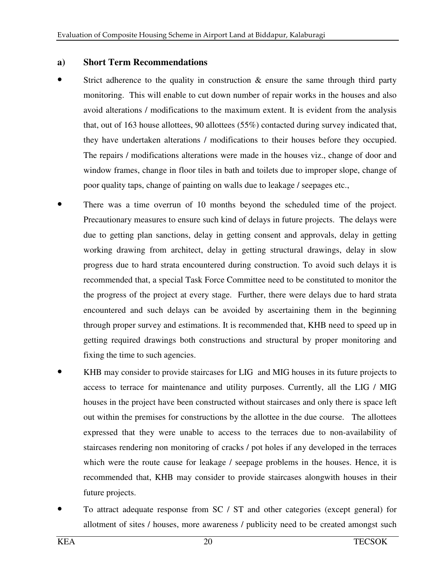#### **a) Short Term Recommendations**

- Strict adherence to the quality in construction  $\&$  ensure the same through third party monitoring. This will enable to cut down number of repair works in the houses and also avoid alterations / modifications to the maximum extent. It is evident from the analysis that, out of 163 house allottees, 90 allottees (55%) contacted during survey indicated that, they have undertaken alterations / modifications to their houses before they occupied. The repairs / modifications alterations were made in the houses viz., change of door and window frames, change in floor tiles in bath and toilets due to improper slope, change of poor quality taps, change of painting on walls due to leakage / seepages etc.,
- There was a time overrun of 10 months beyond the scheduled time of the project. Precautionary measures to ensure such kind of delays in future projects. The delays were due to getting plan sanctions, delay in getting consent and approvals, delay in getting working drawing from architect, delay in getting structural drawings, delay in slow progress due to hard strata encountered during construction. To avoid such delays it is recommended that, a special Task Force Committee need to be constituted to monitor the the progress of the project at every stage. Further, there were delays due to hard strata encountered and such delays can be avoided by ascertaining them in the beginning through proper survey and estimations. It is recommended that, KHB need to speed up in getting required drawings both constructions and structural by proper monitoring and fixing the time to such agencies.
- KHB may consider to provide staircases for LIG and MIG houses in its future projects to access to terrace for maintenance and utility purposes. Currently, all the LIG / MIG houses in the project have been constructed without staircases and only there is space left out within the premises for constructions by the allottee in the due course. The allottees expressed that they were unable to access to the terraces due to non-availability of staircases rendering non monitoring of cracks / pot holes if any developed in the terraces which were the route cause for leakage / seepage problems in the houses. Hence, it is recommended that, KHB may consider to provide staircases alongwith houses in their future projects.
- To attract adequate response from SC / ST and other categories (except general) for allotment of sites / houses, more awareness / publicity need to be created amongst such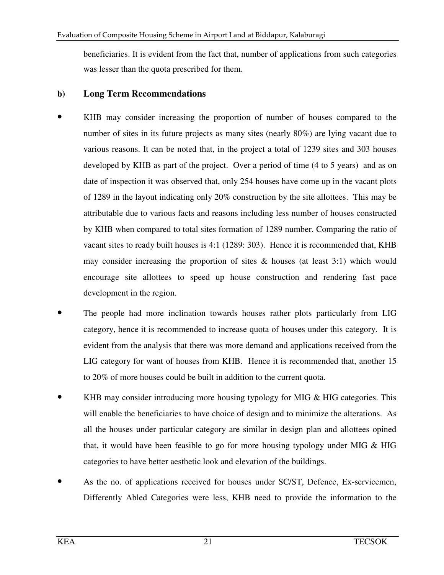beneficiaries. It is evident from the fact that, number of applications from such categories was lesser than the quota prescribed for them.

### **b) Long Term Recommendations**

- KHB may consider increasing the proportion of number of houses compared to the number of sites in its future projects as many sites (nearly 80%) are lying vacant due to various reasons. It can be noted that, in the project a total of 1239 sites and 303 houses developed by KHB as part of the project. Over a period of time (4 to 5 years) and as on date of inspection it was observed that, only 254 houses have come up in the vacant plots of 1289 in the layout indicating only 20% construction by the site allottees. This may be attributable due to various facts and reasons including less number of houses constructed by KHB when compared to total sites formation of 1289 number. Comparing the ratio of vacant sites to ready built houses is 4:1 (1289: 303). Hence it is recommended that, KHB may consider increasing the proportion of sites  $\&$  houses (at least 3:1) which would encourage site allottees to speed up house construction and rendering fast pace development in the region.
- The people had more inclination towards houses rather plots particularly from LIG category, hence it is recommended to increase quota of houses under this category. It is evident from the analysis that there was more demand and applications received from the LIG category for want of houses from KHB. Hence it is recommended that, another 15 to 20% of more houses could be built in addition to the current quota.
- KHB may consider introducing more housing typology for MIG & HIG categories. This will enable the beneficiaries to have choice of design and to minimize the alterations. As all the houses under particular category are similar in design plan and allottees opined that, it would have been feasible to go for more housing typology under MIG & HIG categories to have better aesthetic look and elevation of the buildings.
- As the no. of applications received for houses under SC/ST, Defence, Ex-servicemen, Differently Abled Categories were less, KHB need to provide the information to the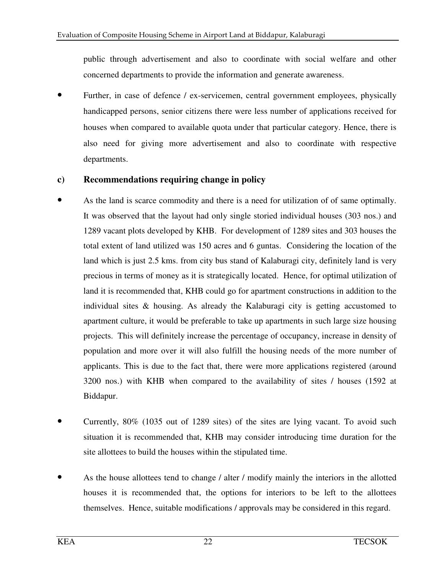public through advertisement and also to coordinate with social welfare and other concerned departments to provide the information and generate awareness.

Further, in case of defence / ex-servicemen, central government employees, physically handicapped persons, senior citizens there were less number of applications received for houses when compared to available quota under that particular category. Hence, there is also need for giving more advertisement and also to coordinate with respective departments.

### **c) Recommendations requiring change in policy**

- As the land is scarce commodity and there is a need for utilization of of same optimally. It was observed that the layout had only single storied individual houses (303 nos.) and 1289 vacant plots developed by KHB. For development of 1289 sites and 303 houses the total extent of land utilized was 150 acres and 6 guntas. Considering the location of the land which is just 2.5 kms. from city bus stand of Kalaburagi city, definitely land is very precious in terms of money as it is strategically located. Hence, for optimal utilization of land it is recommended that, KHB could go for apartment constructions in addition to the individual sites & housing. As already the Kalaburagi city is getting accustomed to apartment culture, it would be preferable to take up apartments in such large size housing projects. This will definitely increase the percentage of occupancy, increase in density of population and more over it will also fulfill the housing needs of the more number of applicants. This is due to the fact that, there were more applications registered (around 3200 nos.) with KHB when compared to the availability of sites / houses (1592 at Biddapur.
- Currently, 80% (1035 out of 1289 sites) of the sites are lying vacant. To avoid such situation it is recommended that, KHB may consider introducing time duration for the site allottees to build the houses within the stipulated time.
- As the house allottees tend to change / alter / modify mainly the interiors in the allotted houses it is recommended that, the options for interiors to be left to the allottees themselves. Hence, suitable modifications / approvals may be considered in this regard.